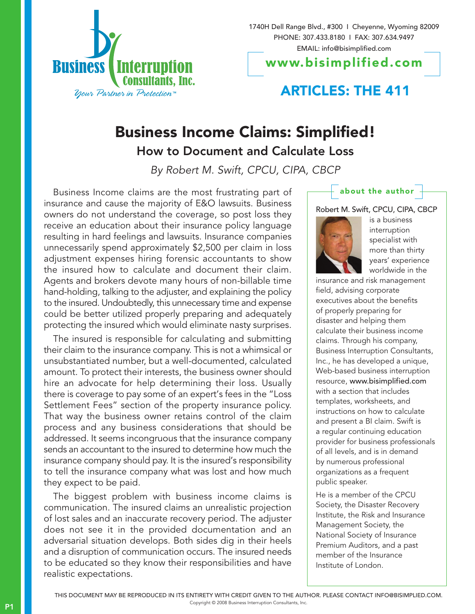

1740H Dell Range Blvd., #300 I Cheyenne, Wyoming 82009 PHONE: 307.433.8180 I FAX: 307.634.9497 EMAIL: info@bisimplified.com

www.bisimplified.com

## **ARTICLES: THE 411**

## Business Income Claims: Simplified!

How to Document and Calculate Loss

By Robert M. Swift, CPCU, CIPA, CBCP

Business Income claims are the most frustrating part of insurance and cause the majority of E&O lawsuits. Business owners do not understand the coverage, so post loss they receive an education about their insurance policy language resulting in hard feelings and lawsuits. Insurance companies unnecessarily spend approximately \$2,500 per claim in loss adjustment expenses hiring forensic accountants to show the insured how to calculate and document their claim. Agents and brokers devote many hours of non-billable time hand-holding, talking to the adjuster, and explaining the policy to the insured. Undoubtedly, this unnecessary time and expense could be better utilized properly preparing and adequately protecting the insured which would eliminate nasty surprises.

The insured is responsible for calculating and submitting their claim to the insurance company. This is not a whimsical or unsubstantiated number, but a well-documented, calculated amount. To protect their interests, the business owner should hire an advocate for help determining their loss. Usually there is coverage to pay some of an expert's fees in the "Loss Settlement Fees" section of the property insurance policy. That way the business owner retains control of the claim process and any business considerations that should be addressed. It seems incongruous that the insurance company sends an accountant to the insured to determine how much the insurance company should pay. It is the insured's responsibility to tell the insurance company what was lost and how much they expect to be paid.

The biggest problem with business income claims is communication. The insured claims an unrealistic projection of lost sales and an inaccurate recovery period. The adjuster does not see it in the provided documentation and an adversarial situation develops. Both sides dig in their heels and a disruption of communication occurs. The insured needs to be educated so they know their responsibilities and have realistic expectations.

## about the author



is a business interruption specialist with more than thirty years' experience worldwide in the

insurance and risk management field, advising corporate executives about the benefits of properly preparing for disaster and helping them calculate their business income claims. Through his company, Business Interruption Consultants, Inc., he has developed a unique, Web-based business interruption resource, www.bisimplified.com with a section that includes templates, worksheets, and instructions on how to calculate and present a BI claim. Swift is a regular continuing education provider for business professionals of all levels, and is in demand by numerous professional organizations as a frequent public speaker.

He is a member of the CPCU Society, the Disaster Recovery Institute, the Risk and Insurance Management Society, the National Society of Insurance Premium Auditors, and a past member of the Insurance Institute of London.